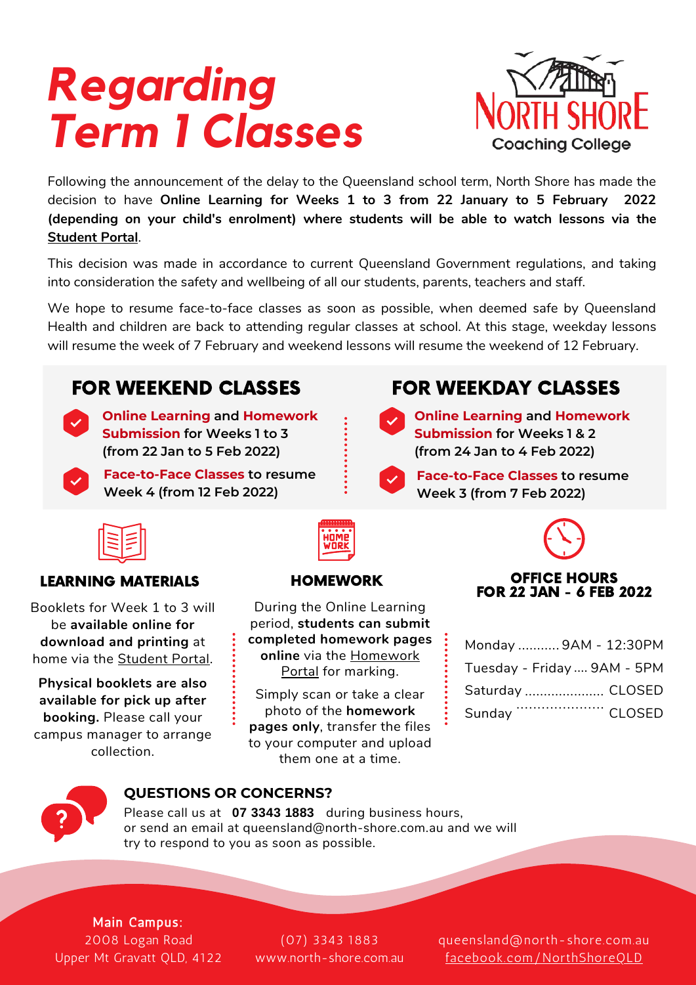# *Regarding Term 1 Classes*



Following the announcement of the delay to the Queensland school term, North Shore has made the decision to have **Online Learning for Weeks 1 to 3 from 22 January to 5 February 2022 (depending on your child's enrolment) where students will be able to watch lessons via the [Student Portal](https://student.north-shore.com.au/student/home/welcome)**.

This decision was made in accordance to current Queensland Government regulations, and taking into consideration the safety and wellbeing of all our students, parents, teachers and staff.

We hope to resume face-to-face classes as soon as possible, when deemed safe by Queensland Health and children are back to attending regular classes at school. At this stage, weekday lessons will resume the week of 7 February and weekend lessons will resume the weekend of 12 February.





**Online Learning and Homework Submission for Weeks 1 to 3 (from 22 Jan to 5 Feb 2022)**

**Face-to-Face Classes to resume Week 4 (from 12 Feb 2022)**

## FOR WEEKEND CLASSES FOR WEEKDAY CLASSES

**Online Learning and Homework Submission for Weeks 1 & 2 (from 24 Jan to 4 Feb 2022)**

**Face-to-Face Classes to resume Week 3 (from 7 Feb 2022)**

Booklets for Week 1 to 3 will be **available online for download and printing** at home via the [Student Portal](https://student.north-shore.com.au/student/home/welcome).

**Physical booklets are also available for pick up after booking.** Please call your campus manager to arrange collection.

During the Online Learning period, **students can submit completed homework pages online** [via the Homework](https://homework.north-shore.com.au/) Portal for marking.

Simply scan or take a clear photo of the **homework pages only**, transfer the files to your computer and upload them one at a time.



### LEARNING MATERIALS HOMEWORK OFFICE HOURS FOR 22 JAN - 6 FEB 2022

|        | Monday  9AM - 12:30PM       |
|--------|-----------------------------|
|        | Tuesday - Friday  9AM - 5PM |
|        | Saturday  CLOSED            |
| Sunday |                             |



### **QUESTIONS OR CONCERNS?**

Please call us at **07 3343 1883** during business hours, or send an email at queensland@north-shore.com.au and we will try to respond to you as soon as possible.

Main Campus: 2008 Logan Road Upper Mt Gravatt QLD, 4122

(07) 3343 1883 [www.north-shore.com.au](http://www.north-shore.com.au/)

queensland@north-shore.com.au [facebook.com/NorthShoreQLD](https://facebook.com/NorthShoreQLD)